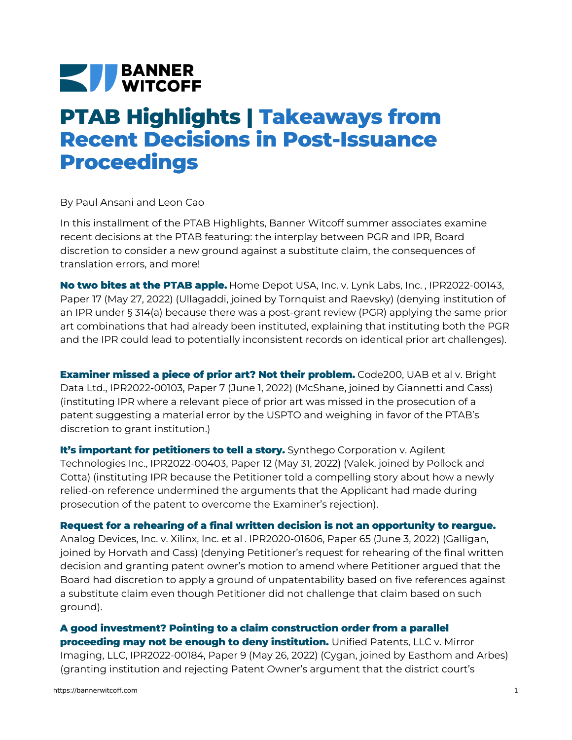## **NEW BANNER**

## **PTAB Highlights | Takeaways from Recent Decisions in Post-Issuance Proceedings**

By Paul Ansani and Leon Cao

In this installment of the PTAB Highlights, Banner Witcoff summer associates examine recent decisions at the PTAB featuring: the interplay between PGR and IPR, Board discretion to consider a new ground against a substitute claim, the consequences of translation errors, and more!

**No two bites at the PTAB apple.** Home [Depot](https://bannerwitcoff.com/wp-content/uploads/2022/06/IPR2022-00143.pdf) USA, Inc. v. Lynk Labs, Inc. , IPR2022-00143, Paper 17 (May 27, 2022) (Ullagaddi, joined by Tornquist and Raevsky) (denying institution of an IPR under § 314(a) because there was a post-grant review (PGR) applying the same prior art combinations that had already been instituted, explaining that instituting both the PGR and the IPR could lead to potentially inconsistent records on identical prior art challenges).

**Examiner missed a piece of prior art? Not their problem.** Code200, UAB et al v. Bright Data Ltd., [IPR2022-00103,](https://bannerwitcoff.com/wp-content/uploads/2022/06/IPR2022-00103.pdf) Paper 7 (June 1, 2022) (McShane, joined by Giannetti and Cass) (instituting IPR where a relevant piece of prior art was missed in the prosecution of a patent suggesting a material error by the USPTO and weighing in favor of the PTAB's discretion to grant institution.)

**It's important for petitioners to tell a story.** Synthego Corporation v. Agilent Technologies Inc., [IPR2022-00403,](https://bannerwitcoff.com/wp-content/uploads/2022/06/IPR2022-00403.pdf) Paper 12 (May 31, 2022) (Valek, joined by Pollock and Cotta) (instituting IPR because the Petitioner told a compelling story about how a newly relied-on reference undermined the arguments that the Applicant had made during prosecution of the patent to overcome the Examiner's rejection).

**Request for a rehearing of a final written decision is not an opportunity to reargue.** Analog [Devices,](https://bannerwitcoff.com/wp-content/uploads/2022/06/IPR2020-01606.pdf) Inc. v. Xilinx, Inc. et al . IPR2020-01606, Paper 65 (June 3, 2022) (Galligan, joined by Horvath and Cass) (denying Petitioner's request for rehearing of the final written decision and granting patent owner's motion to amend where Petitioner argued that the Board had discretion to apply a ground of unpatentability based on five references against a substitute claim even though Petitioner did not challenge that claim based on such ground).

**A good investment? Pointing to a claim construction order from a parallel proceeding may not be enough to deny institution.** Unified Patents, LLC v. Mirror Imaging, LLC, [IPR2022-00184,](https://bannerwitcoff.com/wp-content/uploads/2022/06/IPR2022-00184.pdf) Paper 9 (May 26, 2022) (Cygan, joined by Easthom and Arbes) (granting institution and rejecting Patent Owner's argument that the district court's